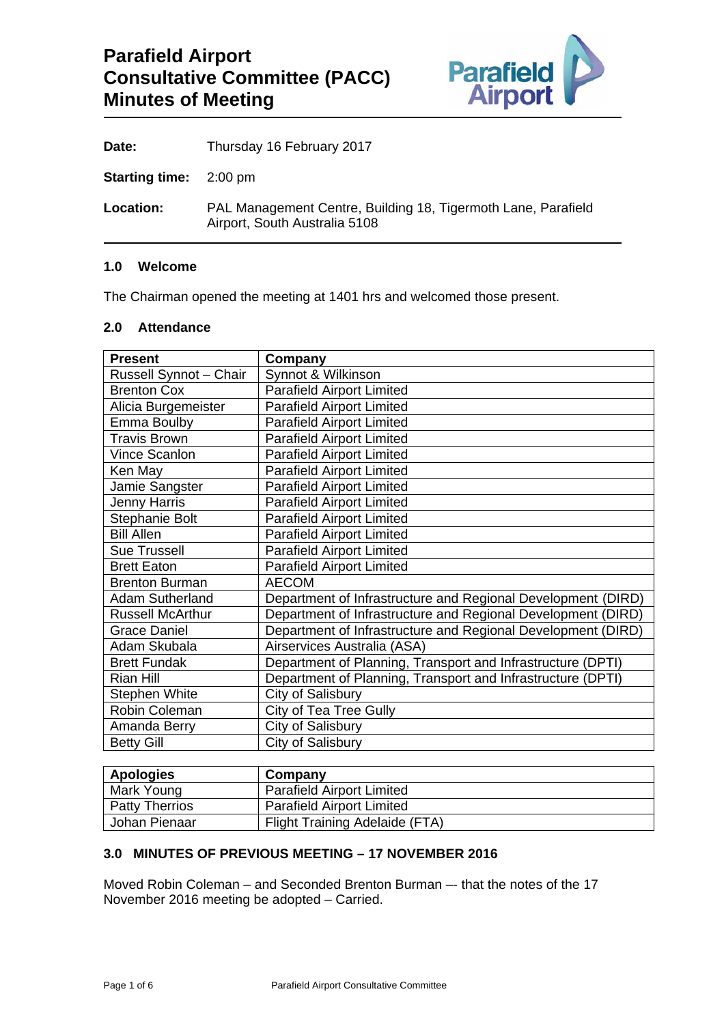

**Date:** Thursday 16 February 2017

**Starting time:** 2:00 pm

**Location:** PAL Management Centre, Building 18, Tigermoth Lane, Parafield Airport, South Australia 5108

## **1.0 Welcome**

The Chairman opened the meeting at 1401 hrs and welcomed those present.

## **2.0 Attendance**

| <b>Present</b>          | Company                                                      |
|-------------------------|--------------------------------------------------------------|
| Russell Synnot - Chair  | Synnot & Wilkinson                                           |
| <b>Brenton Cox</b>      | <b>Parafield Airport Limited</b>                             |
| Alicia Burgemeister     | <b>Parafield Airport Limited</b>                             |
| Emma Boulby             | <b>Parafield Airport Limited</b>                             |
| <b>Travis Brown</b>     | <b>Parafield Airport Limited</b>                             |
| Vince Scanlon           | <b>Parafield Airport Limited</b>                             |
| Ken May                 | <b>Parafield Airport Limited</b>                             |
| Jamie Sangster          | <b>Parafield Airport Limited</b>                             |
| <b>Jenny Harris</b>     | <b>Parafield Airport Limited</b>                             |
| <b>Stephanie Bolt</b>   | <b>Parafield Airport Limited</b>                             |
| <b>Bill Allen</b>       | <b>Parafield Airport Limited</b>                             |
| <b>Sue Trussell</b>     | <b>Parafield Airport Limited</b>                             |
| <b>Brett Eaton</b>      | <b>Parafield Airport Limited</b>                             |
| <b>Brenton Burman</b>   | <b>AECOM</b>                                                 |
| <b>Adam Sutherland</b>  | Department of Infrastructure and Regional Development (DIRD) |
| <b>Russell McArthur</b> | Department of Infrastructure and Regional Development (DIRD) |
| <b>Grace Daniel</b>     | Department of Infrastructure and Regional Development (DIRD) |
| Adam Skubala            | Airservices Australia (ASA)                                  |
| <b>Brett Fundak</b>     | Department of Planning, Transport and Infrastructure (DPTI)  |
| Rian Hill               | Department of Planning, Transport and Infrastructure (DPTI)  |
| <b>Stephen White</b>    | City of Salisbury                                            |
| Robin Coleman           | City of Tea Tree Gully                                       |
| Amanda Berry            | City of Salisbury                                            |
| <b>Betty Gill</b>       | City of Salisbury                                            |

| <b>Apologies</b>      | Company                               |
|-----------------------|---------------------------------------|
| Mark Young            | <b>Parafield Airport Limited</b>      |
| <b>Patty Therrios</b> | <b>Parafield Airport Limited</b>      |
| Johan Pienaar         | <b>Flight Training Adelaide (FTA)</b> |

# **3.0 MINUTES OF PREVIOUS MEETING – 17 NOVEMBER 2016**

Moved Robin Coleman – and Seconded Brenton Burman –- that the notes of the 17 November 2016 meeting be adopted – Carried.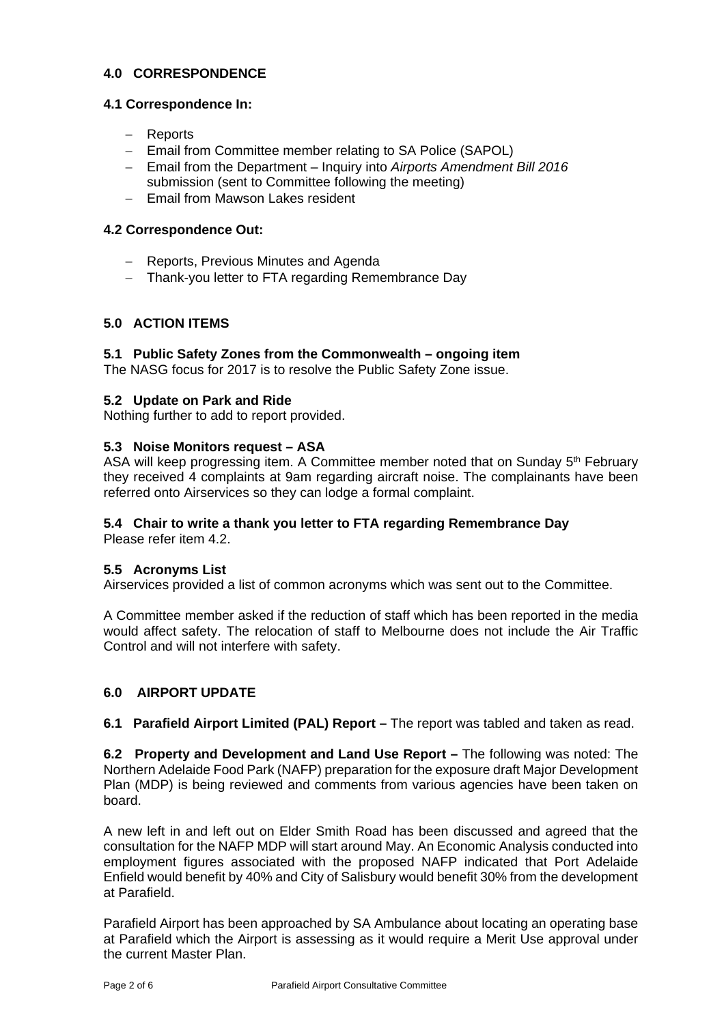# **4.0 CORRESPONDENCE**

#### **4.1 Correspondence In:**

- Reports
- Email from Committee member relating to SA Police (SAPOL)
- Email from the Department Inquiry into *Airports Amendment Bill 2016* submission (sent to Committee following the meeting)
- $-$  Fmail from Mawson Lakes resident

## **4.2 Correspondence Out:**

- Reports, Previous Minutes and Agenda
- Thank-you letter to FTA regarding Remembrance Day

## **5.0 ACTION ITEMS**

#### **5.1 Public Safety Zones from the Commonwealth – ongoing item**

The NASG focus for 2017 is to resolve the Public Safety Zone issue.

#### **5.2 Update on Park and Ride**

Nothing further to add to report provided.

#### **5.3 Noise Monitors request – ASA**

ASA will keep progressing item. A Committee member noted that on Sunday 5<sup>th</sup> February they received 4 complaints at 9am regarding aircraft noise. The complainants have been referred onto Airservices so they can lodge a formal complaint.

## **5.4 Chair to write a thank you letter to FTA regarding Remembrance Day**

Please refer item 4.2.

#### **5.5 Acronyms List**

Airservices provided a list of common acronyms which was sent out to the Committee.

A Committee member asked if the reduction of staff which has been reported in the media would affect safety. The relocation of staff to Melbourne does not include the Air Traffic Control and will not interfere with safety.

## **6.0 AIRPORT UPDATE**

**6.1 Parafield Airport Limited (PAL) Report –** The report was tabled and taken as read.

**6.2 Property and Development and Land Use Report –** The following was noted: The Northern Adelaide Food Park (NAFP) preparation for the exposure draft Major Development Plan (MDP) is being reviewed and comments from various agencies have been taken on board.

A new left in and left out on Elder Smith Road has been discussed and agreed that the consultation for the NAFP MDP will start around May. An Economic Analysis conducted into employment figures associated with the proposed NAFP indicated that Port Adelaide Enfield would benefit by 40% and City of Salisbury would benefit 30% from the development at Parafield.

Parafield Airport has been approached by SA Ambulance about locating an operating base at Parafield which the Airport is assessing as it would require a Merit Use approval under the current Master Plan.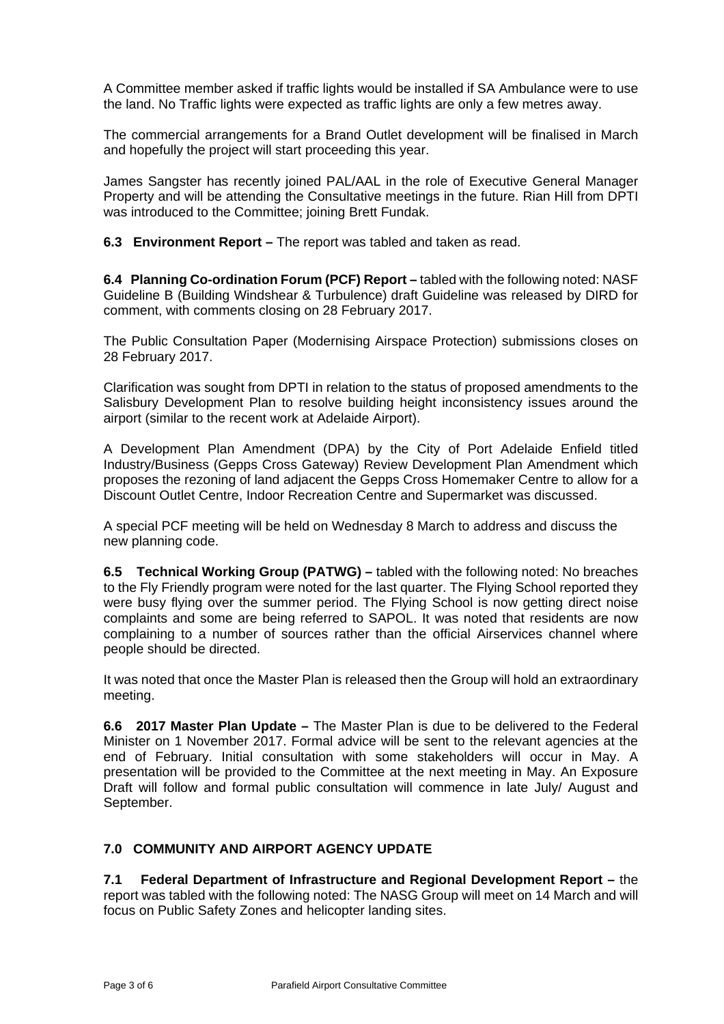A Committee member asked if traffic lights would be installed if SA Ambulance were to use the land. No Traffic lights were expected as traffic lights are only a few metres away.

The commercial arrangements for a Brand Outlet development will be finalised in March and hopefully the project will start proceeding this year.

James Sangster has recently joined PAL/AAL in the role of Executive General Manager Property and will be attending the Consultative meetings in the future. Rian Hill from DPTI was introduced to the Committee; joining Brett Fundak.

**6.3 Environment Report –** The report was tabled and taken as read.

**6.4 Planning Co-ordination Forum (PCF) Report –** tabled with the following noted: NASF Guideline B (Building Windshear & Turbulence) draft Guideline was released by DIRD for comment, with comments closing on 28 February 2017.

The Public Consultation Paper (Modernising Airspace Protection) submissions closes on 28 February 2017.

Clarification was sought from DPTI in relation to the status of proposed amendments to the Salisbury Development Plan to resolve building height inconsistency issues around the airport (similar to the recent work at Adelaide Airport).

A Development Plan Amendment (DPA) by the City of Port Adelaide Enfield titled Industry/Business (Gepps Cross Gateway) Review Development Plan Amendment which proposes the rezoning of land adjacent the Gepps Cross Homemaker Centre to allow for a Discount Outlet Centre, Indoor Recreation Centre and Supermarket was discussed.

A special PCF meeting will be held on Wednesday 8 March to address and discuss the new planning code.

**6.5 Technical Working Group (PATWG) –** tabled with the following noted: No breaches to the Fly Friendly program were noted for the last quarter. The Flying School reported they were busy flying over the summer period. The Flying School is now getting direct noise complaints and some are being referred to SAPOL. It was noted that residents are now complaining to a number of sources rather than the official Airservices channel where people should be directed.

It was noted that once the Master Plan is released then the Group will hold an extraordinary meeting.

**6.6 2017 Master Plan Update –** The Master Plan is due to be delivered to the Federal Minister on 1 November 2017. Formal advice will be sent to the relevant agencies at the end of February. Initial consultation with some stakeholders will occur in May. A presentation will be provided to the Committee at the next meeting in May. An Exposure Draft will follow and formal public consultation will commence in late July/ August and September.

# **7.0 COMMUNITY AND AIRPORT AGENCY UPDATE**

**7.1 Federal Department of Infrastructure and Regional Development Report –** the report was tabled with the following noted: The NASG Group will meet on 14 March and will focus on Public Safety Zones and helicopter landing sites.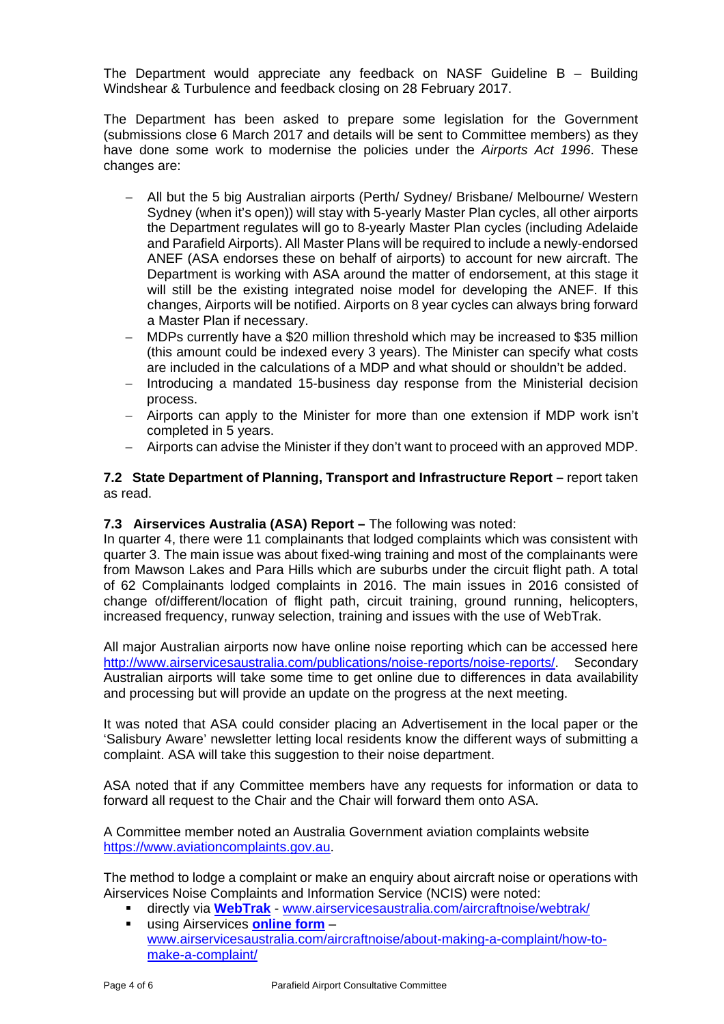The Department would appreciate any feedback on NASF Guideline B – Building Windshear & Turbulence and feedback closing on 28 February 2017.

The Department has been asked to prepare some legislation for the Government (submissions close 6 March 2017 and details will be sent to Committee members) as they have done some work to modernise the policies under the *Airports Act 1996*. These changes are:

- All but the 5 big Australian airports (Perth/ Sydney/ Brisbane/ Melbourne/ Western Sydney (when it's open)) will stay with 5-yearly Master Plan cycles, all other airports the Department regulates will go to 8-yearly Master Plan cycles (including Adelaide and Parafield Airports). All Master Plans will be required to include a newly-endorsed ANEF (ASA endorses these on behalf of airports) to account for new aircraft. The Department is working with ASA around the matter of endorsement, at this stage it will still be the existing integrated noise model for developing the ANEF. If this changes, Airports will be notified. Airports on 8 year cycles can always bring forward a Master Plan if necessary.
- MDPs currently have a \$20 million threshold which may be increased to \$35 million (this amount could be indexed every 3 years). The Minister can specify what costs are included in the calculations of a MDP and what should or shouldn't be added.
- Introducing a mandated 15-business day response from the Ministerial decision process.
- Airports can apply to the Minister for more than one extension if MDP work isn't completed in 5 years.
- Airports can advise the Minister if they don't want to proceed with an approved MDP.

# **7.2 State Department of Planning, Transport and Infrastructure Report –** report taken as read.

## **7.3 Airservices Australia (ASA) Report – The following was noted:**

In quarter 4, there were 11 complainants that lodged complaints which was consistent with quarter 3. The main issue was about fixed-wing training and most of the complainants were from Mawson Lakes and Para Hills which are suburbs under the circuit flight path. A total of 62 Complainants lodged complaints in 2016. The main issues in 2016 consisted of change of/different/location of flight path, circuit training, ground running, helicopters, increased frequency, runway selection, training and issues with the use of WebTrak.

All major Australian airports now have online noise reporting which can be accessed here http://www.airservicesaustralia.com/publications/noise-reports/noise-reports/. Secondary Australian airports will take some time to get online due to differences in data availability and processing but will provide an update on the progress at the next meeting.

It was noted that ASA could consider placing an Advertisement in the local paper or the 'Salisbury Aware' newsletter letting local residents know the different ways of submitting a complaint. ASA will take this suggestion to their noise department.

ASA noted that if any Committee members have any requests for information or data to forward all request to the Chair and the Chair will forward them onto ASA.

A Committee member noted an Australia Government aviation complaints website https://www.aviationcomplaints.gov.au.

The method to lodge a complaint or make an enquiry about aircraft noise or operations with Airservices Noise Complaints and Information Service (NCIS) were noted:

- directly via **WebTrak** www.airservicesaustralia.com/aircraftnoise/webtrak/
- using Airservices **online form** www.airservicesaustralia.com/aircraftnoise/about-making-a-complaint/how-tomake-a-complaint/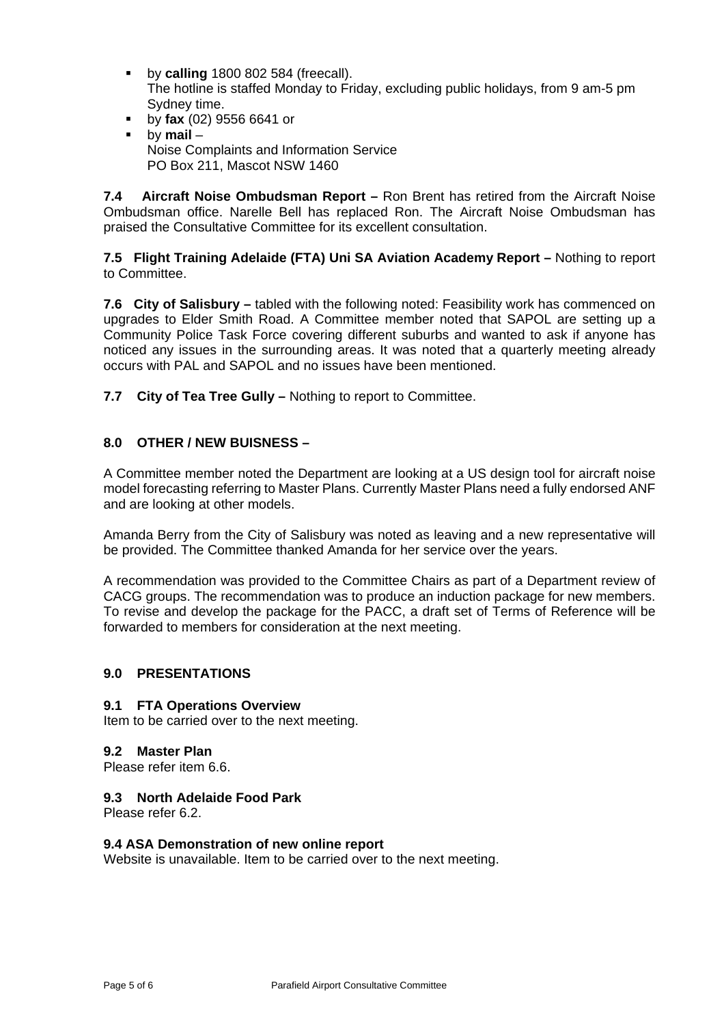- **by calling** 1800 802 584 (freecall). The hotline is staffed Monday to Friday, excluding public holidays, from 9 am-5 pm Sydney time.
- by **fax** (02) 9556 6641 or
- by **mail** Noise Complaints and Information Service PO Box 211, Mascot NSW 1460

**7.4 Aircraft Noise Ombudsman Report –** Ron Brent has retired from the Aircraft Noise Ombudsman office. Narelle Bell has replaced Ron. The Aircraft Noise Ombudsman has praised the Consultative Committee for its excellent consultation.

**7.5 Flight Training Adelaide (FTA) Uni SA Aviation Academy Report –** Nothing to report to Committee.

**7.6 City of Salisbury –** tabled with the following noted: Feasibility work has commenced on upgrades to Elder Smith Road. A Committee member noted that SAPOL are setting up a Community Police Task Force covering different suburbs and wanted to ask if anyone has noticed any issues in the surrounding areas. It was noted that a quarterly meeting already occurs with PAL and SAPOL and no issues have been mentioned.

**7.7 City of Tea Tree Gully –** Nothing to report to Committee.

# **8.0 OTHER / NEW BUISNESS –**

A Committee member noted the Department are looking at a US design tool for aircraft noise model forecasting referring to Master Plans. Currently Master Plans need a fully endorsed ANF and are looking at other models.

Amanda Berry from the City of Salisbury was noted as leaving and a new representative will be provided. The Committee thanked Amanda for her service over the years.

A recommendation was provided to the Committee Chairs as part of a Department review of CACG groups. The recommendation was to produce an induction package for new members. To revise and develop the package for the PACC, a draft set of Terms of Reference will be forwarded to members for consideration at the next meeting.

# **9.0 PRESENTATIONS**

#### **9.1 FTA Operations Overview**

Item to be carried over to the next meeting.

#### **9.2 Master Plan**

Please refer item 6.6.

## **9.3 North Adelaide Food Park**

Please refer 6.2.

#### **9.4 ASA Demonstration of new online report**

Website is unavailable. Item to be carried over to the next meeting.